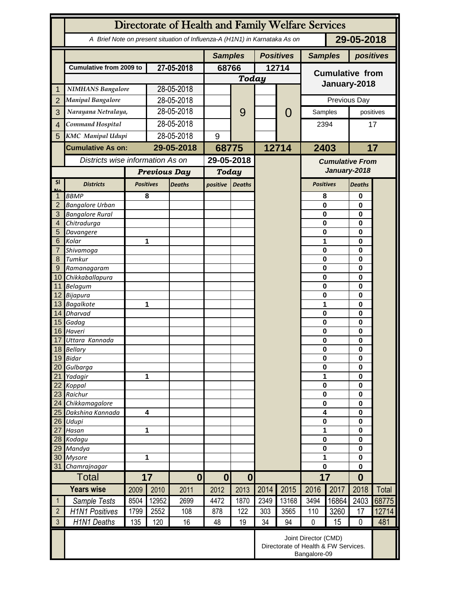|                     | Directorate of Health and Family Welfare Services                                        |                                                                              |                         |               |                              |                  |       |                                        |                        |                      |               |                         |  |
|---------------------|------------------------------------------------------------------------------------------|------------------------------------------------------------------------------|-------------------------|---------------|------------------------------|------------------|-------|----------------------------------------|------------------------|----------------------|---------------|-------------------------|--|
|                     | 29-05-2018<br>A Brief Note on present situation of Influenza-A (H1N1) in Karnataka As on |                                                                              |                         |               |                              |                  |       |                                        |                        |                      |               |                         |  |
|                     |                                                                                          |                                                                              | <b>Samples</b>          |               |                              | <b>Positives</b> |       | <b>Samples</b>                         |                        | positives            |               |                         |  |
|                     | <b>Cumulative from 2009 to</b>                                                           |                                                                              | 27-05-2018              |               | 68766                        |                  | 12714 |                                        | <b>Cumulative from</b> |                      |               |                         |  |
|                     |                                                                                          |                                                                              |                         |               |                              | <b>Today</b>     |       |                                        |                        | January-2018         |               |                         |  |
| 1                   | <b>NIMHANS Bangalore</b>                                                                 |                                                                              | 28-05-2018              |               |                              |                  |       |                                        |                        |                      |               |                         |  |
| $\overline{2}$      | <b>Manipal Bangalore</b>                                                                 |                                                                              |                         | 28-05-2018    |                              |                  |       |                                        |                        | Previous Day         |               |                         |  |
| 3                   | Narayana Netralaya,                                                                      |                                                                              |                         | 28-05-2018    |                              | 9                |       | $\mathcal{O}$                          | Samples                |                      | positives     |                         |  |
| $\overline{4}$      |                                                                                          | Command Hospital                                                             |                         | 28-05-2018    |                              |                  |       |                                        | 2394                   |                      | 17            |                         |  |
| 5                   | <b>KMC</b> Manipal Udupi                                                                 |                                                                              | 28-05-2018              |               | 9                            |                  |       |                                        |                        |                      |               |                         |  |
|                     | <b>Cumulative As on:</b>                                                                 |                                                                              | 29-05-2018              |               |                              |                  | 12714 |                                        | 2403                   |                      | 17            |                         |  |
|                     | Districts wise information As on                                                         |                                                                              |                         |               | 68775<br>29-05-2018          |                  |       |                                        |                        |                      |               |                         |  |
|                     |                                                                                          |                                                                              |                         |               |                              |                  |       | <b>Cumulative From</b><br>January-2018 |                        |                      |               |                         |  |
|                     |                                                                                          |                                                                              | <b>Previous Day</b>     |               | <b>Today</b>                 |                  |       |                                        |                        |                      |               |                         |  |
| <b>SI</b><br>Mz     | <b>Districts</b>                                                                         |                                                                              | <b>Positives</b>        | <b>Deaths</b> | positive                     | <b>Deaths</b>    |       |                                        | <b>Positives</b>       |                      | <b>Deaths</b> |                         |  |
|                     | <b>BBMP</b>                                                                              |                                                                              | 8                       |               |                              |                  |       |                                        | 8                      |                      | 0             |                         |  |
| $\overline{2}$<br>3 | <b>Bangalore Urban</b>                                                                   |                                                                              |                         |               |                              |                  |       |                                        | $\mathbf{0}$           |                      | 0             |                         |  |
| 4                   | <b>Bangalore Rural</b><br>Chitradurga                                                    |                                                                              |                         |               |                              |                  |       |                                        | 0<br>0                 |                      | $\bf{0}$<br>0 |                         |  |
| 5                   | Davangere                                                                                |                                                                              |                         |               |                              |                  |       |                                        | 0                      |                      | 0             |                         |  |
| 6                   | Kolar                                                                                    | 1                                                                            |                         |               |                              |                  |       |                                        | 1                      |                      | 0             |                         |  |
| 7                   | Shivamoga                                                                                |                                                                              |                         |               |                              |                  |       |                                        | $\mathbf 0$            |                      | 0             |                         |  |
| 8                   | Tumkur                                                                                   |                                                                              |                         |               |                              |                  |       |                                        | $\mathbf 0$            |                      | 0             |                         |  |
| 9                   | Ramanagaram                                                                              |                                                                              |                         |               |                              |                  |       |                                        | $\mathbf 0$            |                      | 0             |                         |  |
| 10 <sup>°</sup>     | Chikkaballapura                                                                          |                                                                              |                         |               |                              |                  |       |                                        | 0                      |                      | 0             |                         |  |
|                     | 11 Belagum<br>12 Bijapura                                                                |                                                                              |                         |               |                              |                  |       |                                        | 0<br>0                 |                      | 0<br>$\bf{0}$ |                         |  |
|                     | 13 Bagalkote                                                                             |                                                                              | 1                       |               |                              |                  |       |                                        | 1                      | $\bf{0}$             |               |                         |  |
|                     | 14 Dharvad                                                                               |                                                                              |                         |               |                              |                  |       |                                        | $\mathbf 0$            |                      | 0             |                         |  |
|                     | 15 Gadag                                                                                 |                                                                              |                         |               |                              |                  |       |                                        | $\mathbf 0$            |                      | 0             |                         |  |
|                     | 16 Haveri                                                                                |                                                                              |                         |               |                              |                  |       |                                        |                        | $\mathbf 0$          |               | $\bf{0}$<br>0<br>0<br>0 |  |
| 17                  | Uttara Kannada<br>18 Bellary                                                             |                                                                              |                         |               |                              |                  |       |                                        | 0<br>0                 |                      |               |                         |  |
|                     | 19 Bidar                                                                                 |                                                                              |                         |               |                              |                  |       |                                        |                        | 0                    |               |                         |  |
| 20                  | Gulbarga                                                                                 |                                                                              |                         |               |                              |                  |       |                                        | $\bf{0}$               |                      | 0             |                         |  |
| 21                  | Yadagir                                                                                  | 1                                                                            |                         |               |                              |                  |       |                                        | 1                      |                      | 0             |                         |  |
| 22                  | Koppal                                                                                   |                                                                              |                         |               |                              |                  |       |                                        |                        | $\bf{0}$             |               |                         |  |
| 23                  | Raichur                                                                                  |                                                                              |                         |               |                              |                  |       |                                        |                        | $\bf{0}$             |               |                         |  |
| 24                  | Chikkamagalore                                                                           |                                                                              |                         |               |                              |                  |       |                                        | $\bf{0}$               |                      | $\bf{0}$      |                         |  |
| 25<br>26            | Dakshina Kannada<br>Udupi                                                                |                                                                              | $\overline{\mathbf{4}}$ |               |                              |                  |       |                                        | 4<br>$\pmb{0}$         | $\bf{0}$<br>$\bf{0}$ |               |                         |  |
| 27                  | Hasan                                                                                    |                                                                              | 1                       |               |                              |                  |       |                                        | 1                      |                      | $\bf{0}$      |                         |  |
|                     | 28 Kodagu                                                                                |                                                                              |                         |               |                              |                  |       |                                        | $\pmb{0}$              |                      | $\bf{0}$      |                         |  |
| 29                  | Mandya                                                                                   |                                                                              |                         |               |                              |                  |       |                                        | $\bf{0}$               |                      | $\bf{0}$      |                         |  |
| 30                  | <b>Mysore</b>                                                                            |                                                                              | 1                       |               |                              |                  |       |                                        | 1                      |                      | $\bf{0}$      |                         |  |
| 31                  | Chamrajnagar                                                                             |                                                                              |                         |               |                              |                  |       |                                        | 0                      |                      | $\bf{0}$      |                         |  |
| <b>Total</b>        |                                                                                          | 17                                                                           |                         | $\mathbf{0}$  | $\bf{0}$<br>$\boldsymbol{0}$ |                  |       |                                        | 17                     |                      | $\bf{0}$      |                         |  |
|                     | <b>Years wise</b>                                                                        | 2009                                                                         | 2010                    | 2011          | 2012                         | 2013             | 2014  | 2015                                   | 2016                   | 2017                 | 2018          | Total                   |  |
| $\mathbf{1}$        | Sample Tests                                                                             | 8504                                                                         | 12952                   | 2699          | 4472                         | 1870             | 2349  | 13168                                  | 3494                   | 16864                | 2403          | 68775                   |  |
| $\overline{2}$      | <b>H1N1 Positives</b>                                                                    | 1799                                                                         | 2552                    | 108           | 878                          | 122              | 303   | 3565                                   | 110                    | 3260                 | 17            | 12714                   |  |
| $\mathfrak{Z}$      | H1N1 Deaths                                                                              | 135                                                                          | 120                     | 16            | 48                           | 19               | 34    | 94                                     | $\mathbf 0$            | 15                   | $\mathbf 0$   | 481                     |  |
|                     |                                                                                          | Joint Director (CMD)<br>Directorate of Health & FW Services.<br>Bangalore-09 |                         |               |                              |                  |       |                                        |                        |                      |               |                         |  |